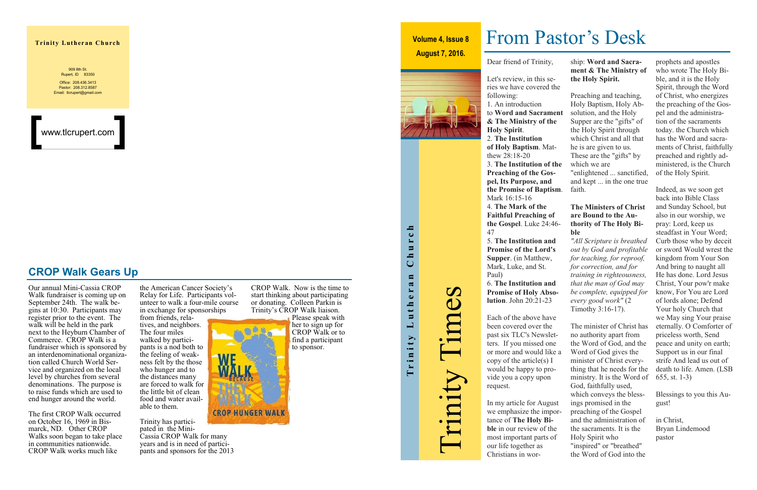### **Trinity Lutheran Church**

the American Cancer Society's Relay for Life. Participants volunteer to walk a four-mile course in exchange for sponsorships

from friends, relatives, and neighbors. The four miles walked by participants is a nod both to the feeling of weakness felt by the those who hunger and to the distances many are forced to walk for the little bit of clean food and water available to them.

Trinity has participated in the Mini-Cassia CROP Walk for many years and is in need of participants and sponsors for the 2013

909 8th St. Rupert, ID 83350 Office: 208.436.3413 Pastor: 208.312.8587 Email: tlcrupert@gmail.com

Our annual Mini-Cassia CROP Walk fundraiser is coming up on September 24th. The walk begins at 10:30. Participants may register prior to the event. The walk will be held in the park next to the Heyburn Chamber of Commerce. CROP Walk is a fundraiser which is sponsored by an interdenominational organization called Church World Service and organized on the local level by churches from several denominations. The purpose is to raise funds which are used to end hunger around the world.

The first CROP Walk occurred on October 16, 1969 in Bismarck, ND. Other CROP Walks soon began to take place in communities nationwide. CROP Walk works much like

CROP Walk. Now is the time to start thinking about participating or donating. Colleen Parkin is Trinity's CROP Walk liaison.



### **CROP Walk Gears Up**

www.tlcrupert.com

Dear friend of Trinity,



**& The Ministry of the Holy Spirit**.

2. **The Institution of Holy Baptism**. Matthew 28:18-20

3. **The Institution of the Preaching of the Gospel, Its Purpose, and the Promise of Baptism**. Mark 16:15-16

4. **The Mark of the Faithful Preaching of the Gospel**. Luke 24:46- 47

5. **The Institution and Promise of the Lord's Supper**. (in Matthew, Mark, Luke, and St. Paul)

6. **The Institution and Promise of Holy Absolution**. John 20:21-23 *training in righteousness, that the man of God may be complete, equipped for every good work"* (2 Timothy 3:16-17).

Each of the above have been covered over the past six TLC's Newsletters. If you missed one or more and would like a copy of the article(s) I would be happy to provide you a copy upon request. The minister of Christ has no authority apart from the Word of God, and the Word of God gives the minister of Christ every-God, faithfully used,

|    | ship: Word and Sacra-          |
|----|--------------------------------|
|    | ment & The Ministry of         |
|    | the Holy Spirit.               |
| è  |                                |
|    | Preaching and teaching,        |
|    | Holy Baptism, Holy Ab-         |
| ıt | solution, and the Holy         |
|    | Supper are the "gifts" of      |
|    |                                |
|    | the Holy Spirit through        |
|    | which Christ and all that      |
|    | he is are given to us.         |
|    | These are the "gifts" by       |
| e  | which we are                   |
|    | "enlightened  sanctified,      |
|    | and kept  in the one true      |
| ń. | faith.                         |
|    |                                |
|    | <b>The Ministers of Christ</b> |
|    | are Bound to the Au-           |
|    | thority of The Holy Bi-        |
|    | ble                            |
|    | "All Scripture is breathed     |
|    | out by God and profitable      |
|    | for teaching, for reproof,     |
|    | for correction, and for        |
|    |                                |

In my article for August we emphasize the importance of **The Holy Bible** in our review of the most important parts of our life together as Christians in worings promised in the preaching of the Gospel Holy Spirit who the Word of God into the

# Trinity Lutheran Church Church Trinity Lutheran

- thing that he needs for the ministry. It is the Word of which conveys the bless-
- and the administration of the sacraments. It is the "inspired" or "breathed"

prophets and apostles who wrote The Holy Bible, and it is the Holy Spirit, through the Word of Christ, who energizes the preaching of the Gospel and the administration of the sacraments today. the Church which has the Word and sacraments of Christ, faithfully preached and rightly administered, is the Church of the Holy Spirit.

Indeed, as we soon get back into Bible Class and Sunday School, but also in our worship, we pray: Lord, keep us steadfast in Your Word; Curb those who by deceit or sword Would wrest the kingdom from Your Son And bring to naught all He has done. Lord Jesus Christ, Your pow'r make know, For You are Lord of lords alone; Defend Your holy Church that we May sing Your praise eternally. O Comforter of priceless worth, Send peace and unity on earth; Support us in our final strife And lead us out of death to life. Amen. (LSB 655, st. 1-3)

Blessings to you this August!

in Christ, Bryan Lindemood pastor

# From Pastor's Desk

# Trinity Times

**Volume 4, Issue 8**

### **August 7, 2016.**